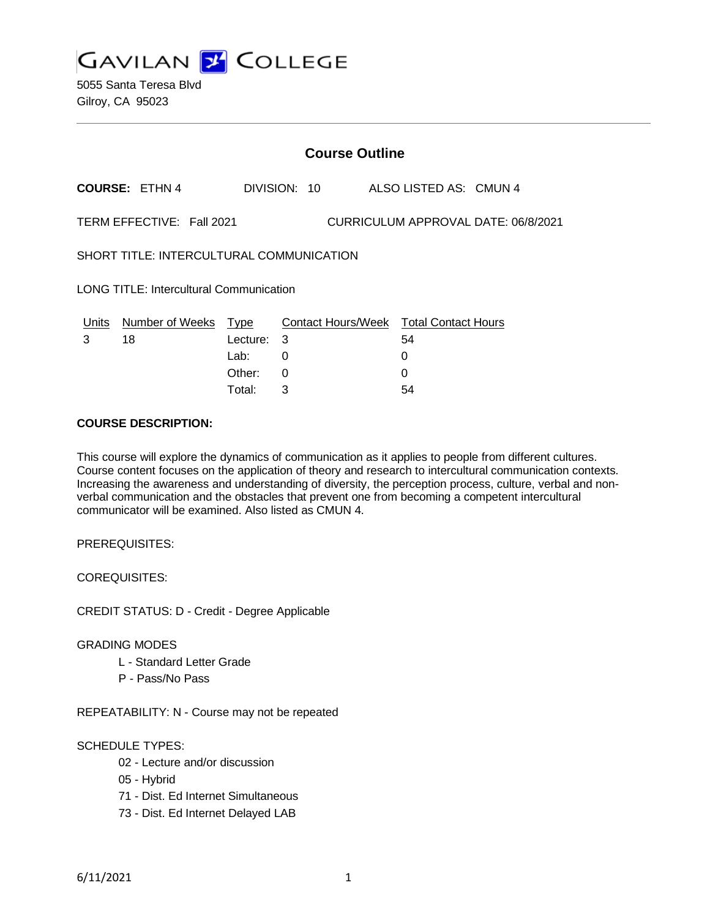

|                                                                  | <b>Course Outline</b> |             |   |              |  |                                        |  |
|------------------------------------------------------------------|-----------------------|-------------|---|--------------|--|----------------------------------------|--|
|                                                                  | <b>COURSE: ETHN 4</b> |             |   | DIVISION: 10 |  | ALSO LISTED AS: CMUN 4                 |  |
| TERM EFFECTIVE: Fall 2021<br>CURRICULUM APPROVAL DATE: 06/8/2021 |                       |             |   |              |  |                                        |  |
| SHORT TITLE: INTERCULTURAL COMMUNICATION                         |                       |             |   |              |  |                                        |  |
| <b>LONG TITLE: Intercultural Communication</b>                   |                       |             |   |              |  |                                        |  |
| Units                                                            | Number of Weeks       | <u>Type</u> |   |              |  | Contact Hours/Week Total Contact Hours |  |
| 3                                                                | 18                    | Lecture:    | 3 |              |  | 54                                     |  |
|                                                                  |                       | Lab:        | 0 |              |  | 0                                      |  |
|                                                                  |                       | Other:      | 0 |              |  |                                        |  |

Total: 3 54

### **COURSE DESCRIPTION:**

This course will explore the dynamics of communication as it applies to people from different cultures. Course content focuses on the application of theory and research to intercultural communication contexts. Increasing the awareness and understanding of diversity, the perception process, culture, verbal and nonverbal communication and the obstacles that prevent one from becoming a competent intercultural communicator will be examined. Also listed as CMUN 4.

PREREQUISITES:

COREQUISITES:

CREDIT STATUS: D - Credit - Degree Applicable

#### GRADING MODES

- L Standard Letter Grade
- P Pass/No Pass

REPEATABILITY: N - Course may not be repeated

## SCHEDULE TYPES:

- 02 Lecture and/or discussion
- 05 Hybrid
- 71 Dist. Ed Internet Simultaneous
- 73 Dist. Ed Internet Delayed LAB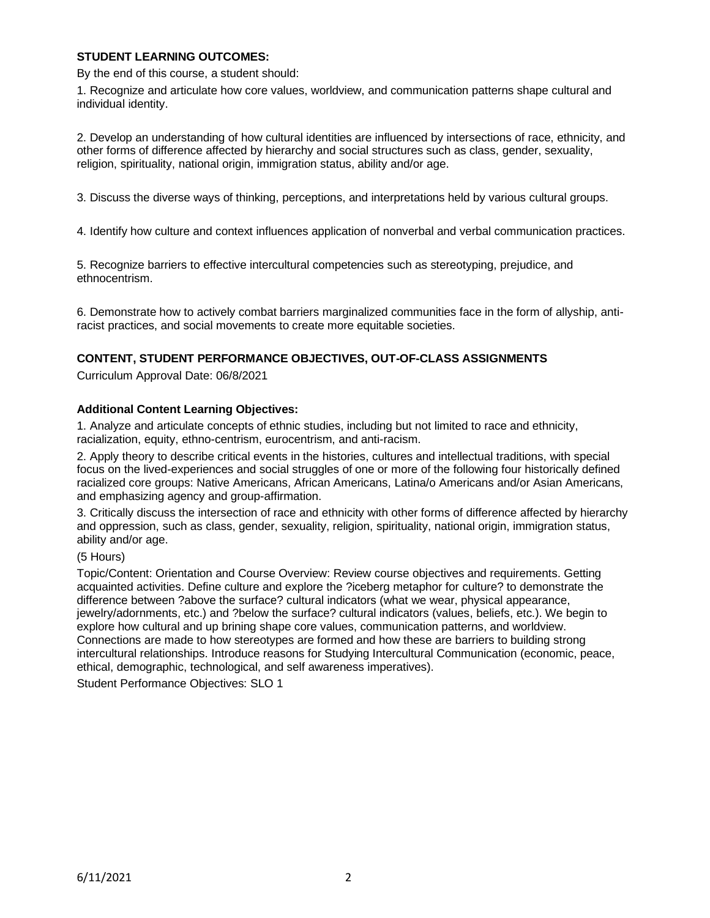## **STUDENT LEARNING OUTCOMES:**

By the end of this course, a student should:

1. Recognize and articulate how core values, worldview, and communication patterns shape cultural and individual identity.

2. Develop an understanding of how cultural identities are influenced by intersections of race, ethnicity, and other forms of difference affected by hierarchy and social structures such as class, gender, sexuality, religion, spirituality, national origin, immigration status, ability and/or age.

3. Discuss the diverse ways of thinking, perceptions, and interpretations held by various cultural groups.

4. Identify how culture and context influences application of nonverbal and verbal communication practices.

5. Recognize barriers to effective intercultural competencies such as stereotyping, prejudice, and ethnocentrism.

6. Demonstrate how to actively combat barriers marginalized communities face in the form of allyship, antiracist practices, and social movements to create more equitable societies.

## **CONTENT, STUDENT PERFORMANCE OBJECTIVES, OUT-OF-CLASS ASSIGNMENTS**

Curriculum Approval Date: 06/8/2021

### **Additional Content Learning Objectives:**

1. Analyze and articulate concepts of ethnic studies, including but not limited to race and ethnicity, racialization, equity, ethno-centrism, eurocentrism, and anti-racism.

2. Apply theory to describe critical events in the histories, cultures and intellectual traditions, with special focus on the lived-experiences and social struggles of one or more of the following four historically defined racialized core groups: Native Americans, African Americans, Latina/o Americans and/or Asian Americans, and emphasizing agency and group-affirmation.

3. Critically discuss the intersection of race and ethnicity with other forms of difference affected by hierarchy and oppression, such as class, gender, sexuality, religion, spirituality, national origin, immigration status, ability and/or age.

(5 Hours)

Topic/Content: Orientation and Course Overview: Review course objectives and requirements. Getting acquainted activities. Define culture and explore the ?iceberg metaphor for culture? to demonstrate the difference between ?above the surface? cultural indicators (what we wear, physical appearance, jewelry/adornments, etc.) and ?below the surface? cultural indicators (values, beliefs, etc.). We begin to explore how cultural and up brining shape core values, communication patterns, and worldview. Connections are made to how stereotypes are formed and how these are barriers to building strong intercultural relationships. Introduce reasons for Studying Intercultural Communication (economic, peace, ethical, demographic, technological, and self awareness imperatives).

Student Performance Objectives: SLO 1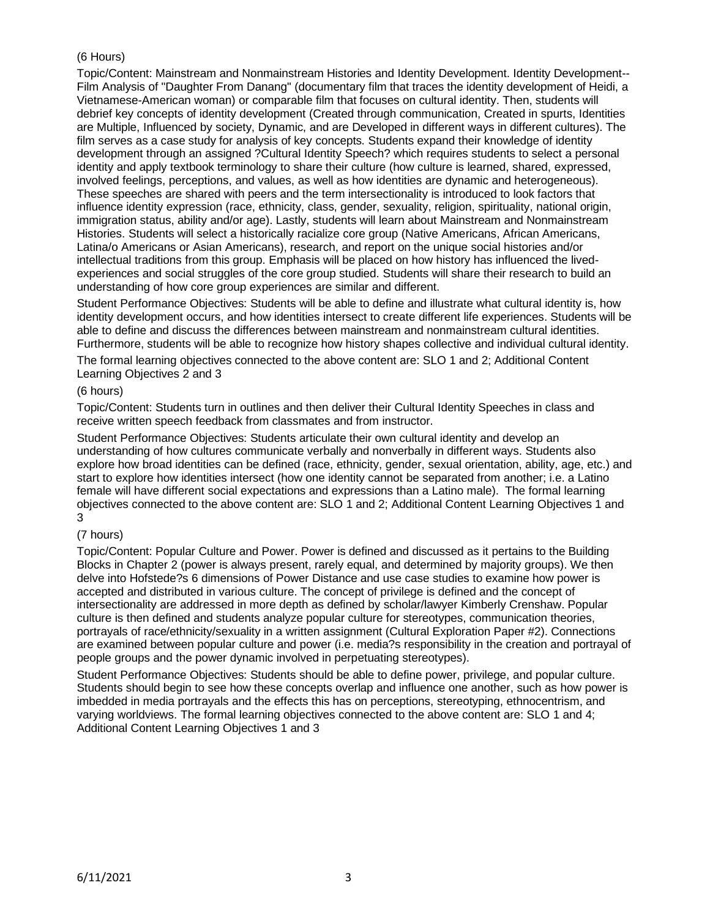# (6 Hours)

Topic/Content: Mainstream and Nonmainstream Histories and Identity Development. Identity Development-- Film Analysis of "Daughter From Danang" (documentary film that traces the identity development of Heidi, a Vietnamese-American woman) or comparable film that focuses on cultural identity. Then, students will debrief key concepts of identity development (Created through communication, Created in spurts, Identities are Multiple, Influenced by society, Dynamic, and are Developed in different ways in different cultures). The film serves as a case study for analysis of key concepts. Students expand their knowledge of identity development through an assigned ?Cultural Identity Speech? which requires students to select a personal identity and apply textbook terminology to share their culture (how culture is learned, shared, expressed, involved feelings, perceptions, and values, as well as how identities are dynamic and heterogeneous). These speeches are shared with peers and the term intersectionality is introduced to look factors that influence identity expression (race, ethnicity, class, gender, sexuality, religion, spirituality, national origin, immigration status, ability and/or age). Lastly, students will learn about Mainstream and Nonmainstream Histories. Students will select a historically racialize core group (Native Americans, African Americans, Latina/o Americans or Asian Americans), research, and report on the unique social histories and/or intellectual traditions from this group. Emphasis will be placed on how history has influenced the livedexperiences and social struggles of the core group studied. Students will share their research to build an understanding of how core group experiences are similar and different.

Student Performance Objectives: Students will be able to define and illustrate what cultural identity is, how identity development occurs, and how identities intersect to create different life experiences. Students will be able to define and discuss the differences between mainstream and nonmainstream cultural identities. Furthermore, students will be able to recognize how history shapes collective and individual cultural identity.

The formal learning objectives connected to the above content are: SLO 1 and 2; Additional Content Learning Objectives 2 and 3

### (6 hours)

Topic/Content: Students turn in outlines and then deliver their Cultural Identity Speeches in class and receive written speech feedback from classmates and from instructor.

Student Performance Objectives: Students articulate their own cultural identity and develop an understanding of how cultures communicate verbally and nonverbally in different ways. Students also explore how broad identities can be defined (race, ethnicity, gender, sexual orientation, ability, age, etc.) and start to explore how identities intersect (how one identity cannot be separated from another; i.e. a Latino female will have different social expectations and expressions than a Latino male). The formal learning objectives connected to the above content are: SLO 1 and 2; Additional Content Learning Objectives 1 and 3

## (7 hours)

Topic/Content: Popular Culture and Power. Power is defined and discussed as it pertains to the Building Blocks in Chapter 2 (power is always present, rarely equal, and determined by majority groups). We then delve into Hofstede?s 6 dimensions of Power Distance and use case studies to examine how power is accepted and distributed in various culture. The concept of privilege is defined and the concept of intersectionality are addressed in more depth as defined by scholar/lawyer Kimberly Crenshaw. Popular culture is then defined and students analyze popular culture for stereotypes, communication theories, portrayals of race/ethnicity/sexuality in a written assignment (Cultural Exploration Paper #2). Connections are examined between popular culture and power (i.e. media?s responsibility in the creation and portrayal of people groups and the power dynamic involved in perpetuating stereotypes).

Student Performance Objectives: Students should be able to define power, privilege, and popular culture. Students should begin to see how these concepts overlap and influence one another, such as how power is imbedded in media portrayals and the effects this has on perceptions, stereotyping, ethnocentrism, and varying worldviews. The formal learning objectives connected to the above content are: SLO 1 and 4; Additional Content Learning Objectives 1 and 3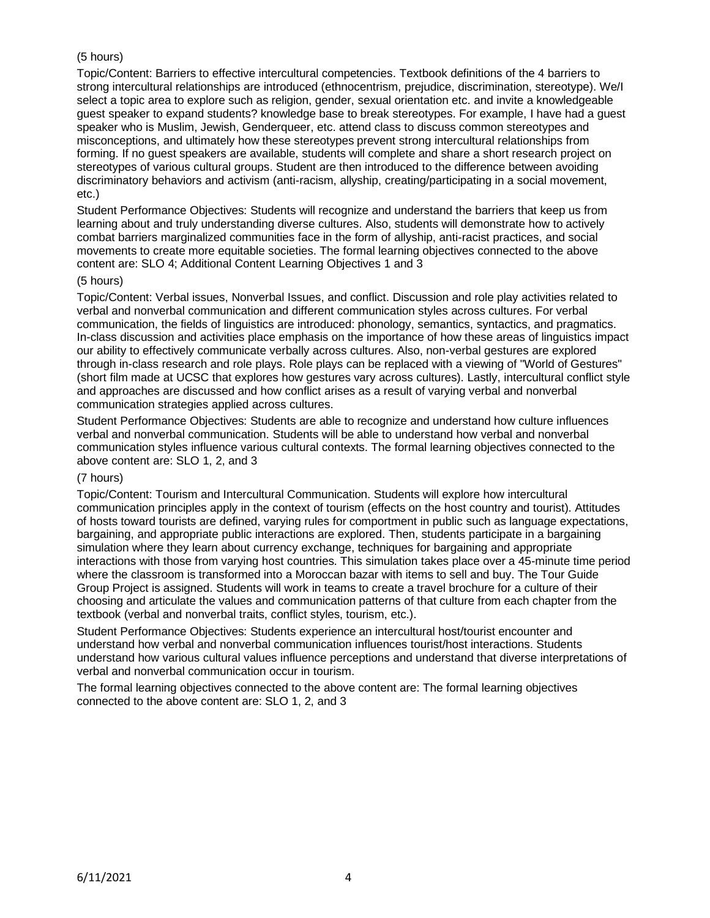# (5 hours)

Topic/Content: Barriers to effective intercultural competencies. Textbook definitions of the 4 barriers to strong intercultural relationships are introduced (ethnocentrism, prejudice, discrimination, stereotype). We/I select a topic area to explore such as religion, gender, sexual orientation etc. and invite a knowledgeable guest speaker to expand students? knowledge base to break stereotypes. For example, I have had a guest speaker who is Muslim, Jewish, Genderqueer, etc. attend class to discuss common stereotypes and misconceptions, and ultimately how these stereotypes prevent strong intercultural relationships from forming. If no guest speakers are available, students will complete and share a short research project on stereotypes of various cultural groups. Student are then introduced to the difference between avoiding discriminatory behaviors and activism (anti-racism, allyship, creating/participating in a social movement, etc.)

Student Performance Objectives: Students will recognize and understand the barriers that keep us from learning about and truly understanding diverse cultures. Also, students will demonstrate how to actively combat barriers marginalized communities face in the form of allyship, anti-racist practices, and social movements to create more equitable societies. The formal learning objectives connected to the above content are: SLO 4; Additional Content Learning Objectives 1 and 3

#### (5 hours)

Topic/Content: Verbal issues, Nonverbal Issues, and conflict. Discussion and role play activities related to verbal and nonverbal communication and different communication styles across cultures. For verbal communication, the fields of linguistics are introduced: phonology, semantics, syntactics, and pragmatics. In-class discussion and activities place emphasis on the importance of how these areas of linguistics impact our ability to effectively communicate verbally across cultures. Also, non-verbal gestures are explored through in-class research and role plays. Role plays can be replaced with a viewing of "World of Gestures" (short film made at UCSC that explores how gestures vary across cultures). Lastly, intercultural conflict style and approaches are discussed and how conflict arises as a result of varying verbal and nonverbal communication strategies applied across cultures.

Student Performance Objectives: Students are able to recognize and understand how culture influences verbal and nonverbal communication. Students will be able to understand how verbal and nonverbal communication styles influence various cultural contexts. The formal learning objectives connected to the above content are: SLO 1, 2, and 3

## (7 hours)

Topic/Content: Tourism and Intercultural Communication. Students will explore how intercultural communication principles apply in the context of tourism (effects on the host country and tourist). Attitudes of hosts toward tourists are defined, varying rules for comportment in public such as language expectations, bargaining, and appropriate public interactions are explored. Then, students participate in a bargaining simulation where they learn about currency exchange, techniques for bargaining and appropriate interactions with those from varying host countries. This simulation takes place over a 45-minute time period where the classroom is transformed into a Moroccan bazar with items to sell and buy. The Tour Guide Group Project is assigned. Students will work in teams to create a travel brochure for a culture of their choosing and articulate the values and communication patterns of that culture from each chapter from the textbook (verbal and nonverbal traits, conflict styles, tourism, etc.).

Student Performance Objectives: Students experience an intercultural host/tourist encounter and understand how verbal and nonverbal communication influences tourist/host interactions. Students understand how various cultural values influence perceptions and understand that diverse interpretations of verbal and nonverbal communication occur in tourism.

The formal learning objectives connected to the above content are: The formal learning objectives connected to the above content are: SLO 1, 2, and 3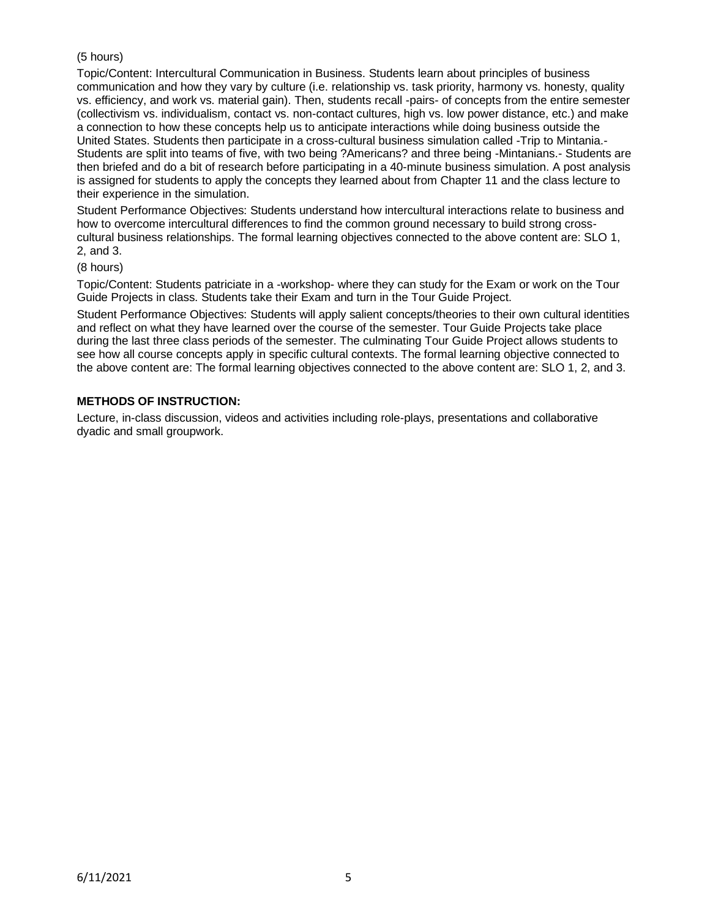# (5 hours)

Topic/Content: Intercultural Communication in Business. Students learn about principles of business communication and how they vary by culture (i.e. relationship vs. task priority, harmony vs. honesty, quality vs. efficiency, and work vs. material gain). Then, students recall -pairs- of concepts from the entire semester (collectivism vs. individualism, contact vs. non-contact cultures, high vs. low power distance, etc.) and make a connection to how these concepts help us to anticipate interactions while doing business outside the United States. Students then participate in a cross-cultural business simulation called -Trip to Mintania.- Students are split into teams of five, with two being ?Americans? and three being -Mintanians.- Students are then briefed and do a bit of research before participating in a 40-minute business simulation. A post analysis is assigned for students to apply the concepts they learned about from Chapter 11 and the class lecture to their experience in the simulation.

Student Performance Objectives: Students understand how intercultural interactions relate to business and how to overcome intercultural differences to find the common ground necessary to build strong crosscultural business relationships. The formal learning objectives connected to the above content are: SLO 1, 2, and 3.

### (8 hours)

Topic/Content: Students patriciate in a -workshop- where they can study for the Exam or work on the Tour Guide Projects in class. Students take their Exam and turn in the Tour Guide Project.

Student Performance Objectives: Students will apply salient concepts/theories to their own cultural identities and reflect on what they have learned over the course of the semester. Tour Guide Projects take place during the last three class periods of the semester. The culminating Tour Guide Project allows students to see how all course concepts apply in specific cultural contexts. The formal learning objective connected to the above content are: The formal learning objectives connected to the above content are: SLO 1, 2, and 3.

## **METHODS OF INSTRUCTION:**

Lecture, in-class discussion, videos and activities including role-plays, presentations and collaborative dyadic and small groupwork.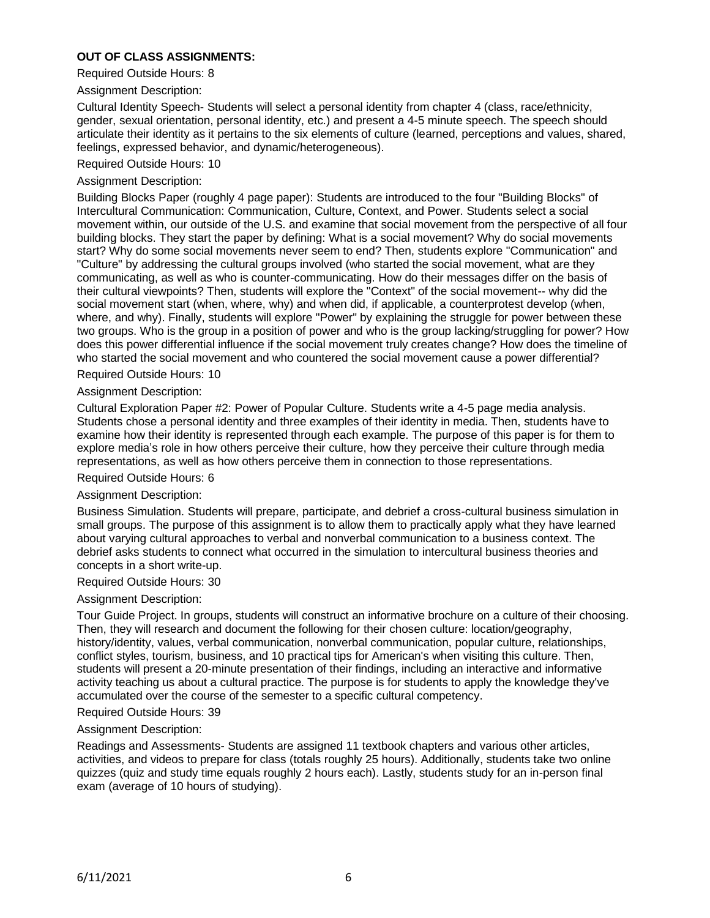## **OUT OF CLASS ASSIGNMENTS:**

Required Outside Hours: 8

### Assignment Description:

Cultural Identity Speech- Students will select a personal identity from chapter 4 (class, race/ethnicity, gender, sexual orientation, personal identity, etc.) and present a 4-5 minute speech. The speech should articulate their identity as it pertains to the six elements of culture (learned, perceptions and values, shared, feelings, expressed behavior, and dynamic/heterogeneous).

#### Required Outside Hours: 10

#### Assignment Description:

Building Blocks Paper (roughly 4 page paper): Students are introduced to the four "Building Blocks" of Intercultural Communication: Communication, Culture, Context, and Power. Students select a social movement within, our outside of the U.S. and examine that social movement from the perspective of all four building blocks. They start the paper by defining: What is a social movement? Why do social movements start? Why do some social movements never seem to end? Then, students explore "Communication" and "Culture" by addressing the cultural groups involved (who started the social movement, what are they communicating, as well as who is counter-communicating. How do their messages differ on the basis of their cultural viewpoints? Then, students will explore the "Context" of the social movement-- why did the social movement start (when, where, why) and when did, if applicable, a counterprotest develop (when, where, and why). Finally, students will explore "Power" by explaining the struggle for power between these two groups. Who is the group in a position of power and who is the group lacking/struggling for power? How does this power differential influence if the social movement truly creates change? How does the timeline of who started the social movement and who countered the social movement cause a power differential?

### Required Outside Hours: 10

### Assignment Description:

Cultural Exploration Paper #2: Power of Popular Culture. Students write a 4-5 page media analysis. Students chose a personal identity and three examples of their identity in media. Then, students have to examine how their identity is represented through each example. The purpose of this paper is for them to explore media's role in how others perceive their culture, how they perceive their culture through media representations, as well as how others perceive them in connection to those representations.

### Required Outside Hours: 6

#### Assignment Description:

Business Simulation. Students will prepare, participate, and debrief a cross-cultural business simulation in small groups. The purpose of this assignment is to allow them to practically apply what they have learned about varying cultural approaches to verbal and nonverbal communication to a business context. The debrief asks students to connect what occurred in the simulation to intercultural business theories and concepts in a short write-up.

#### Required Outside Hours: 30

#### Assignment Description:

Tour Guide Project. In groups, students will construct an informative brochure on a culture of their choosing. Then, they will research and document the following for their chosen culture: location/geography, history/identity, values, verbal communication, nonverbal communication, popular culture, relationships, conflict styles, tourism, business, and 10 practical tips for American's when visiting this culture. Then, students will present a 20-minute presentation of their findings, including an interactive and informative activity teaching us about a cultural practice. The purpose is for students to apply the knowledge they've accumulated over the course of the semester to a specific cultural competency.

#### Required Outside Hours: 39

#### Assignment Description:

Readings and Assessments- Students are assigned 11 textbook chapters and various other articles, activities, and videos to prepare for class (totals roughly 25 hours). Additionally, students take two online quizzes (quiz and study time equals roughly 2 hours each). Lastly, students study for an in-person final exam (average of 10 hours of studying).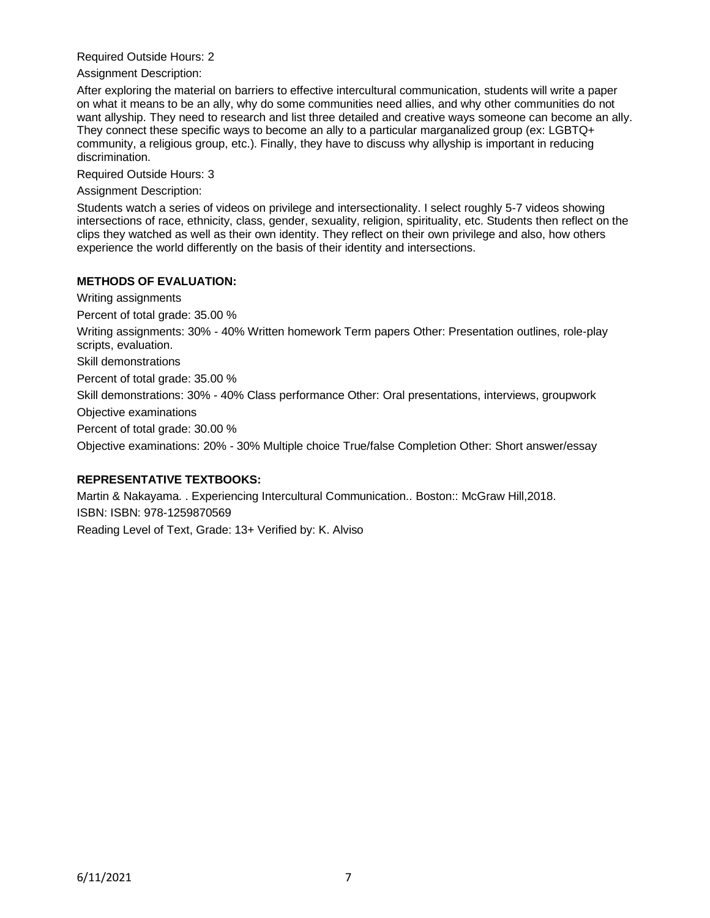Required Outside Hours: 2

Assignment Description:

After exploring the material on barriers to effective intercultural communication, students will write a paper on what it means to be an ally, why do some communities need allies, and why other communities do not want allyship. They need to research and list three detailed and creative ways someone can become an ally. They connect these specific ways to become an ally to a particular marganalized group (ex: LGBTQ+ community, a religious group, etc.). Finally, they have to discuss why allyship is important in reducing discrimination.

Required Outside Hours: 3

Assignment Description:

Students watch a series of videos on privilege and intersectionality. I select roughly 5-7 videos showing intersections of race, ethnicity, class, gender, sexuality, religion, spirituality, etc. Students then reflect on the clips they watched as well as their own identity. They reflect on their own privilege and also, how others experience the world differently on the basis of their identity and intersections.

# **METHODS OF EVALUATION:**

Writing assignments

Percent of total grade: 35.00 %

Writing assignments: 30% - 40% Written homework Term papers Other: Presentation outlines, role-play scripts, evaluation.

Skill demonstrations

Percent of total grade: 35.00 %

Skill demonstrations: 30% - 40% Class performance Other: Oral presentations, interviews, groupwork

Objective examinations

Percent of total grade: 30.00 %

Objective examinations: 20% - 30% Multiple choice True/false Completion Other: Short answer/essay

## **REPRESENTATIVE TEXTBOOKS:**

Martin & Nakayama. . Experiencing Intercultural Communication.. Boston:: McGraw Hill,2018. ISBN: ISBN: 978-1259870569 Reading Level of Text, Grade: 13+ Verified by: K. Alviso